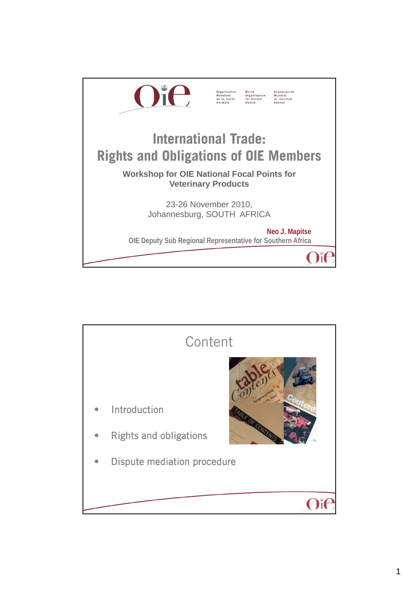

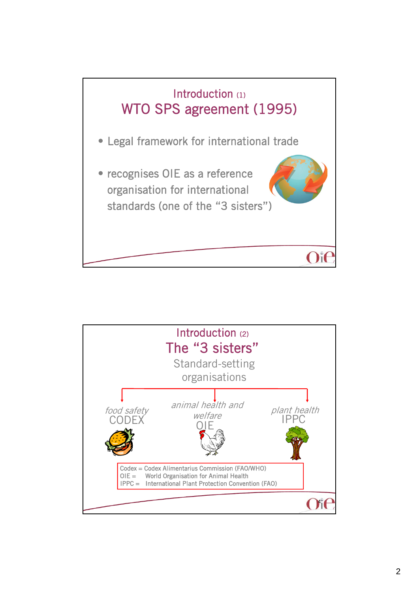

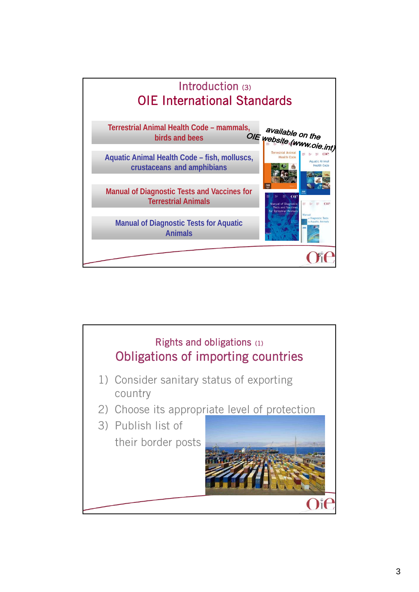

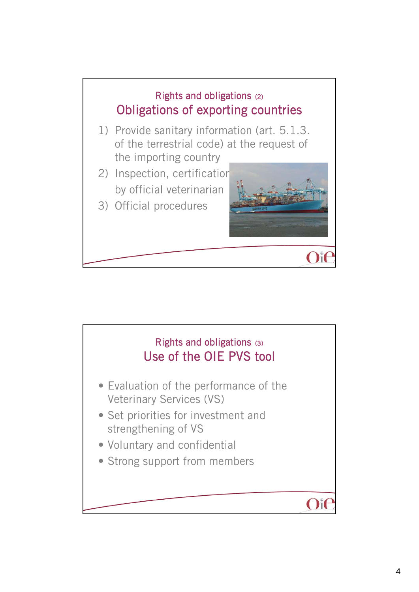

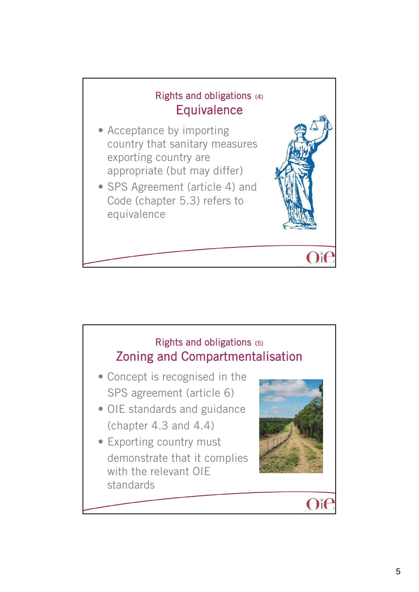

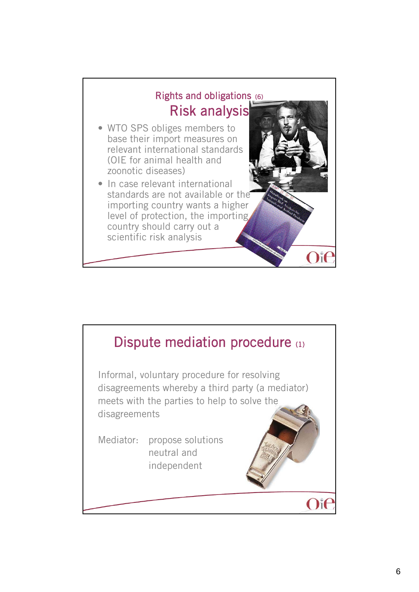

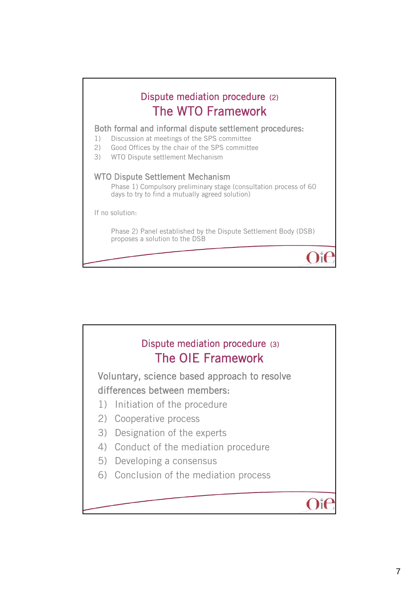

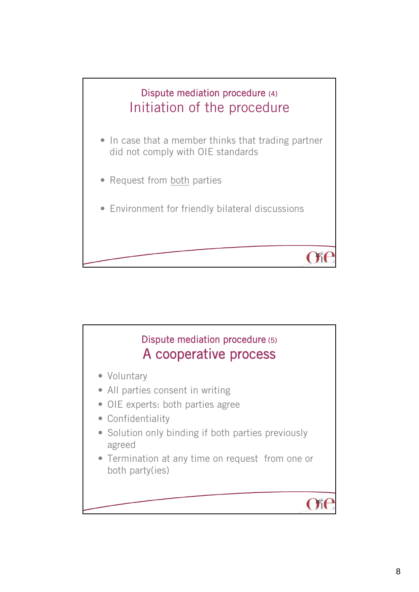

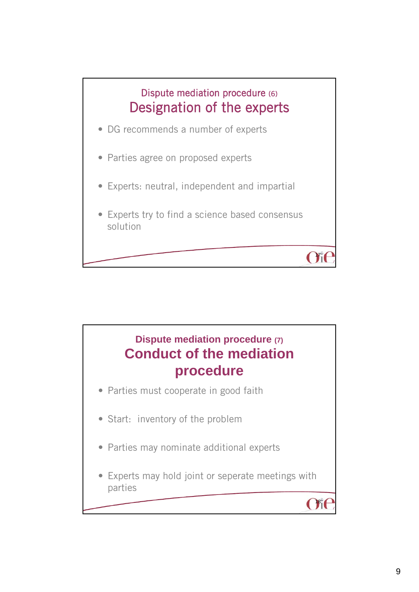

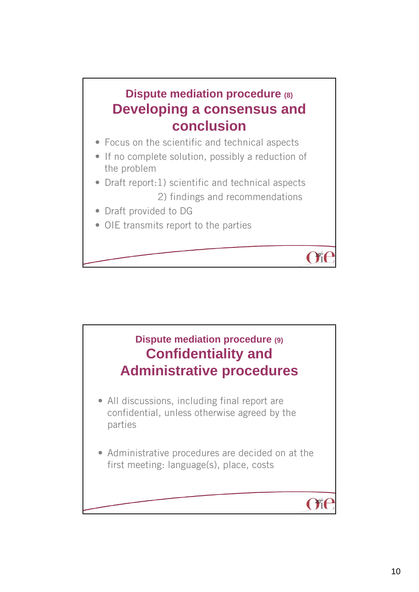## **Dispute mediation procedure (8) Developing a consensus and conclusion**

- Focus on the scientific and technical aspects
- If no complete solution, possibly a reduction of the problem
- Draft report:1) scientific and technical aspects 2) findings and recommendations

 $191$ 

- Draft provided to DG
- OIE transmits report to the parties